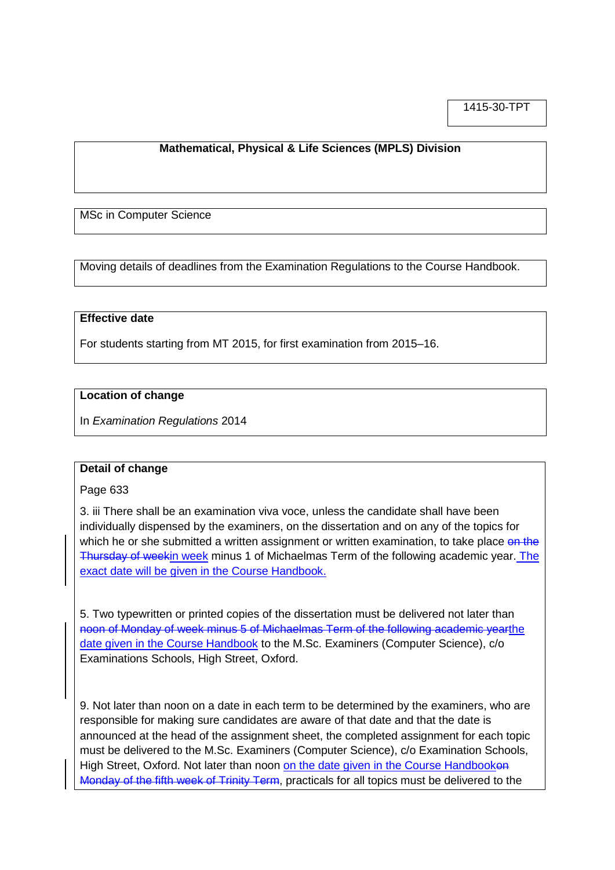1415-30-TPT

# **Mathematical, Physical & Life Sciences (MPLS) Division**

MSc in Computer Science

Moving details of deadlines from the Examination Regulations to the Course Handbook.

### **Effective date**

For students starting from MT 2015, for first examination from 2015–16.

### **Location of change**

In *Examination Regulations* 2014

#### **Detail of change**

Page 633

3. iii There shall be an examination viva voce, unless the candidate shall have been individually dispensed by the examiners, on the dissertation and on any of the topics for which he or she submitted a written assignment or written examination, to take place on the Thursday of weekin week minus 1 of Michaelmas Term of the following academic year. The exact date will be given in the Course Handbook.

5. Two typewritten or printed copies of the dissertation must be delivered not later than noon of Monday of week minus 5 of Michaelmas Term of the following academic yearthe date given in the Course Handbook to the M.Sc. Examiners (Computer Science), c/o Examinations Schools, High Street, Oxford.

9. Not later than noon on a date in each term to be determined by the examiners, who are responsible for making sure candidates are aware of that date and that the date is announced at the head of the assignment sheet, the completed assignment for each topic must be delivered to the M.Sc. Examiners (Computer Science), c/o Examination Schools, High Street, Oxford. Not later than noon on the date given in the Course Handbooken Monday of the fifth week of Trinity Term, practicals for all topics must be delivered to the